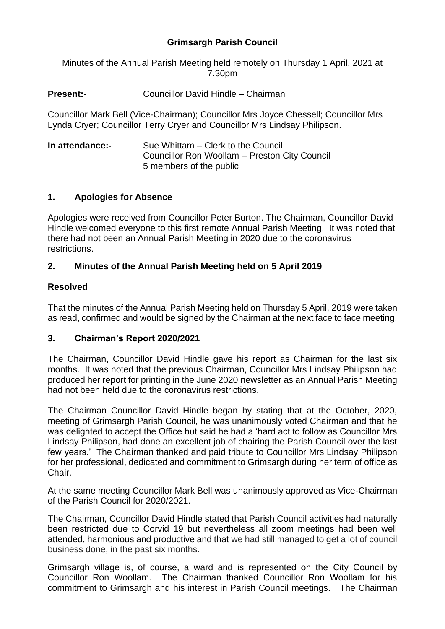# **Grimsargh Parish Council**

Minutes of the Annual Parish Meeting held remotely on Thursday 1 April, 2021 at 7.30pm

## **Present:-** Councillor David Hindle – Chairman

Councillor Mark Bell (Vice-Chairman); Councillor Mrs Joyce Chessell; Councillor Mrs Lynda Cryer; Councillor Terry Cryer and Councillor Mrs Lindsay Philipson.

| In attendance:- | Sue Whittam – Clerk to the Council            |
|-----------------|-----------------------------------------------|
|                 | Councillor Ron Woollam – Preston City Council |
|                 | 5 members of the public                       |

## **1. Apologies for Absence**

Apologies were received from Councillor Peter Burton. The Chairman, Councillor David Hindle welcomed everyone to this first remote Annual Parish Meeting. It was noted that there had not been an Annual Parish Meeting in 2020 due to the coronavirus restrictions.

## **2. Minutes of the Annual Parish Meeting held on 5 April 2019**

### **Resolved**

That the minutes of the Annual Parish Meeting held on Thursday 5 April, 2019 were taken as read, confirmed and would be signed by the Chairman at the next face to face meeting.

## **3. Chairman's Report 2020/2021**

The Chairman, Councillor David Hindle gave his report as Chairman for the last six months. It was noted that the previous Chairman, Councillor Mrs Lindsay Philipson had produced her report for printing in the June 2020 newsletter as an Annual Parish Meeting had not been held due to the coronavirus restrictions.

The Chairman Councillor David Hindle began by stating that at the October, 2020, meeting of Grimsargh Parish Council, he was unanimously voted Chairman and that he was delighted to accept the Office but said he had a 'hard act to follow as Councillor Mrs Lindsay Philipson, had done an excellent job of chairing the Parish Council over the last few years.' The Chairman thanked and paid tribute to Councillor Mrs Lindsay Philipson for her professional, dedicated and commitment to Grimsargh during her term of office as Chair.

At the same meeting Councillor Mark Bell was unanimously approved as Vice-Chairman of the Parish Council for 2020/2021.

The Chairman, Councillor David Hindle stated that Parish Council activities had naturally been restricted due to Corvid 19 but nevertheless all zoom meetings had been well attended, harmonious and productive and that we had still managed to get a lot of council business done, in the past six months.

Grimsargh village is, of course, a ward and is represented on the City Council by Councillor Ron Woollam. The Chairman thanked Councillor Ron Woollam for his commitment to Grimsargh and his interest in Parish Council meetings. The Chairman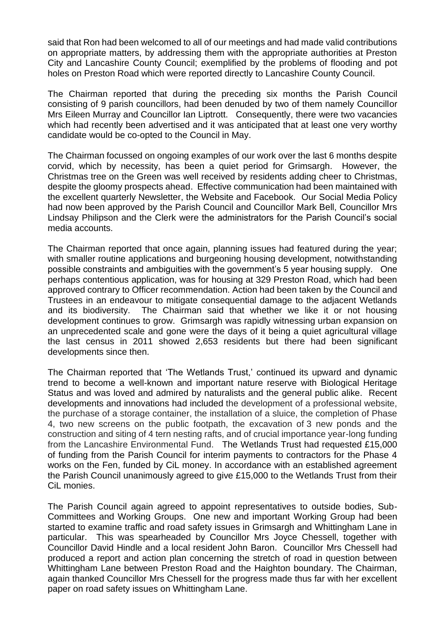said that Ron had been welcomed to all of our meetings and had made valid contributions on appropriate matters, by addressing them with the appropriate authorities at Preston City and Lancashire County Council; exemplified by the problems of flooding and pot holes on Preston Road which were reported directly to Lancashire County Council.

The Chairman reported that during the preceding six months the Parish Council consisting of 9 parish councillors, had been denuded by two of them namely Councillor Mrs Eileen Murray and Councillor Ian Liptrott. Consequently, there were two vacancies which had recently been advertised and it was anticipated that at least one very worthy candidate would be co-opted to the Council in May.

The Chairman focussed on ongoing examples of our work over the last 6 months despite corvid, which by necessity, has been a quiet period for Grimsargh. However, the Christmas tree on the Green was well received by residents adding cheer to Christmas, despite the gloomy prospects ahead. Effective communication had been maintained with the excellent quarterly Newsletter, the Website and Facebook. Our Social Media Policy had now been approved by the Parish Council and Councillor Mark Bell, Councillor Mrs Lindsay Philipson and the Clerk were the administrators for the Parish Council's social media accounts.

The Chairman reported that once again, planning issues had featured during the year; with smaller routine applications and burgeoning housing development, notwithstanding possible constraints and ambiguities with the government's 5 year housing supply. One perhaps contentious application, was for housing at 329 Preston Road, which had been approved contrary to Officer recommendation. Action had been taken by the Council and Trustees in an endeavour to mitigate consequential damage to the adjacent Wetlands and its biodiversity. The Chairman said that whether we like it or not housing development continues to grow. Grimsargh was rapidly witnessing urban expansion on an unprecedented scale and gone were the days of it being a quiet agricultural village the last census in 2011 showed 2,653 residents but there had been significant developments since then.

The Chairman reported that 'The Wetlands Trust,' continued its upward and dynamic trend to become a well-known and important nature reserve with Biological Heritage Status and was loved and admired by naturalists and the general public alike. Recent developments and innovations had included the development of a professional website, the purchase of a storage container, the installation of a sluice, the completion of Phase 4, two new screens on the public footpath, the excavation of 3 new ponds and the construction and siting of 4 tern nesting rafts, and of crucial importance year-long funding from the Lancashire Environmental Fund. The Wetlands Trust had requested £15,000 of funding from the Parish Council for interim payments to contractors for the Phase 4 works on the Fen, funded by CiL money. In accordance with an established agreement the Parish Council unanimously agreed to give £15,000 to the Wetlands Trust from their CiL monies.

The Parish Council again agreed to appoint representatives to outside bodies, Sub-Committees and Working Groups. One new and important Working Group had been started to examine traffic and road safety issues in Grimsargh and Whittingham Lane in particular. This was spearheaded by Councillor Mrs Joyce Chessell, together with Councillor David Hindle and a local resident John Baron. Councillor Mrs Chessell had produced a report and action plan concerning the stretch of road in question between Whittingham Lane between Preston Road and the Haighton boundary. The Chairman, again thanked Councillor Mrs Chessell for the progress made thus far with her excellent paper on road safety issues on Whittingham Lane.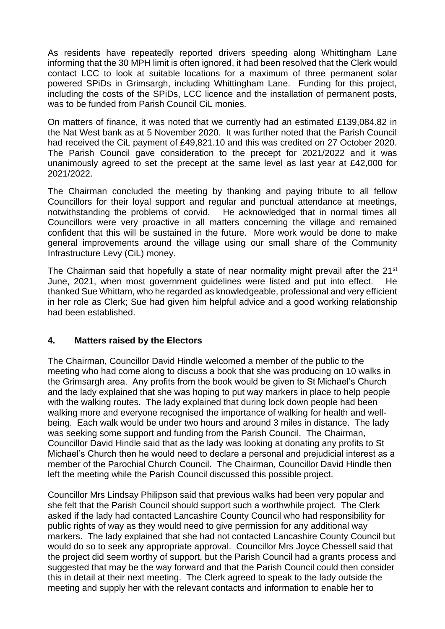As residents have repeatedly reported drivers speeding along Whittingham Lane informing that the 30 MPH limit is often ignored, it had been resolved that the Clerk would contact LCC to look at suitable locations for a maximum of three permanent solar powered SPiDs in Grimsargh, including Whittingham Lane. Funding for this project, including the costs of the SPiDs, LCC licence and the installation of permanent posts, was to be funded from Parish Council CiL monies.

On matters of finance, it was noted that we currently had an estimated £139,084.82 in the Nat West bank as at 5 November 2020. It was further noted that the Parish Council had received the CiL payment of £49,821.10 and this was credited on 27 October 2020. The Parish Council gave consideration to the precept for 2021/2022 and it was unanimously agreed to set the precept at the same level as last year at £42,000 for 2021/2022.

The Chairman concluded the meeting by thanking and paying tribute to all fellow Councillors for their loyal support and regular and punctual attendance at meetings, notwithstanding the problems of corvid. He acknowledged that in normal times all Councillors were very proactive in all matters concerning the village and remained confident that this will be sustained in the future. More work would be done to make general improvements around the village using our small share of the Community Infrastructure Levy (CiL) money.

The Chairman said that hopefully a state of near normality might prevail after the 21<sup>st</sup> June, 2021, when most government guidelines were listed and put into effect. He thanked Sue Whittam, who he regarded as knowledgeable, professional and very efficient in her role as Clerk; Sue had given him helpful advice and a good working relationship had been established.

## **4. Matters raised by the Electors**

The Chairman, Councillor David Hindle welcomed a member of the public to the meeting who had come along to discuss a book that she was producing on 10 walks in the Grimsargh area. Any profits from the book would be given to St Michael's Church and the lady explained that she was hoping to put way markers in place to help people with the walking routes. The lady explained that during lock down people had been walking more and everyone recognised the importance of walking for health and wellbeing. Each walk would be under two hours and around 3 miles in distance. The lady was seeking some support and funding from the Parish Council. The Chairman, Councillor David Hindle said that as the lady was looking at donating any profits to St Michael's Church then he would need to declare a personal and prejudicial interest as a member of the Parochial Church Council. The Chairman, Councillor David Hindle then left the meeting while the Parish Council discussed this possible project.

Councillor Mrs Lindsay Philipson said that previous walks had been very popular and she felt that the Parish Council should support such a worthwhile project. The Clerk asked if the lady had contacted Lancashire County Council who had responsibility for public rights of way as they would need to give permission for any additional way markers. The lady explained that she had not contacted Lancashire County Council but would do so to seek any appropriate approval. Councillor Mrs Joyce Chessell said that the project did seem worthy of support, but the Parish Council had a grants process and suggested that may be the way forward and that the Parish Council could then consider this in detail at their next meeting. The Clerk agreed to speak to the lady outside the meeting and supply her with the relevant contacts and information to enable her to